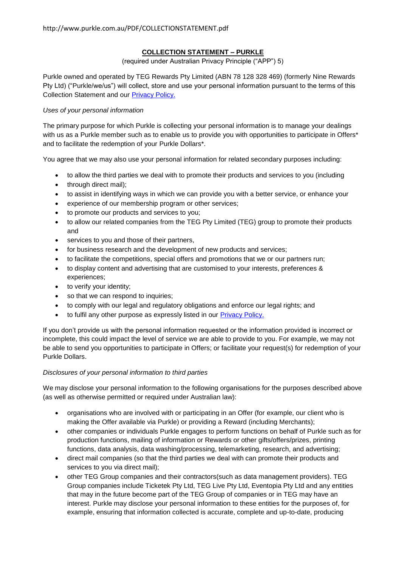# **COLLECTION STATEMENT – PURKLE**

#### (required under Australian Privacy Principle ("APP") 5)

Purkle owned and operated by TEG Rewards Pty Limited (ABN 78 128 328 469) (formerly Nine Rewards Pty Ltd) ("Purkle/we/us") will collect, store and use your personal information pursuant to the terms of this Collection Statement and our [Privacy Policy.](http://www.purkle.com.au/Privacy.aspx)

### *Uses of your personal information*

The primary purpose for which Purkle is collecting your personal information is to manage your dealings with us as a Purkle member such as to enable us to provide you with opportunities to participate in Offers\* and to facilitate the redemption of your Purkle Dollars\*.

You agree that we may also use your personal information for related secondary purposes including:

- to allow the third parties we deal with to promote their products and services to you (including
- through direct mail);
- to assist in identifying ways in which we can provide you with a better service, or enhance your
- experience of our membership program or other services;
- to promote our products and services to you;
- to allow our related companies from the TEG Pty Limited (TEG) group to promote their products and
- services to you and those of their partners,
- for business research and the development of new products and services;
- to facilitate the competitions, special offers and promotions that we or our partners run;
- to display content and advertising that are customised to your interests, preferences & experiences;
- to verify your identity;
- so that we can respond to inquiries;
- to comply with our legal and regulatory obligations and enforce our legal rights; and
- to fulfil any other purpose as expressly listed in our [Privacy Policy.](http://www.purkle.com.au/Privacy.aspx)

If you don't provide us with the personal information requested or the information provided is incorrect or incomplete, this could impact the level of service we are able to provide to you. For example, we may not be able to send you opportunities to participate in Offers; or facilitate your request(s) for redemption of your Purkle Dollars.

## *Disclosures of your personal information to third parties*

We may disclose your personal information to the following organisations for the purposes described above (as well as otherwise permitted or required under Australian law):

- organisations who are involved with or participating in an Offer (for example, our client who is making the Offer available via Purkle) or providing a Reward (including Merchants);
- other companies or individuals Purkle engages to perform functions on behalf of Purkle such as for production functions, mailing of information or Rewards or other gifts/offers/prizes, printing functions, data analysis, data washing/processing, telemarketing, research, and advertising;
- direct mail companies (so that the third parties we deal with can promote their products and services to you via direct mail);
- other TEG Group companies and their contractors(such as data management providers). TEG Group companies include Ticketek Pty Ltd, TEG Live Pty Ltd, Eventopia Pty Ltd and any entities that may in the future become part of the TEG Group of companies or in TEG may have an interest. Purkle may disclose your personal information to these entities for the purposes of, for example, ensuring that information collected is accurate, complete and up-to-date, producing